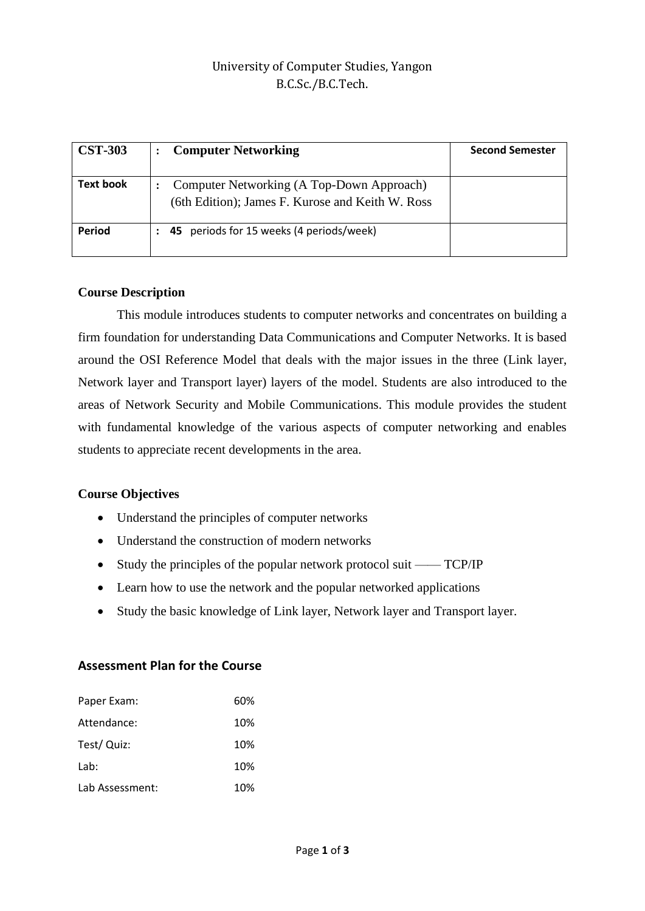## University of Computer Studies, Yangon B.C.Sc./B.C.Tech.

| <b>CST-303</b>   | <b>Computer Networking</b>                                                                    | <b>Second Semester</b> |
|------------------|-----------------------------------------------------------------------------------------------|------------------------|
| <b>Text book</b> | Computer Networking (A Top-Down Approach)<br>(6th Edition); James F. Kurose and Keith W. Ross |                        |
| <b>Period</b>    | 45 periods for 15 weeks (4 periods/week)                                                      |                        |

### **Course Description**

This module introduces students to computer networks and concentrates on building a firm foundation for understanding Data Communications and Computer Networks. It is based around the OSI Reference Model that deals with the major issues in the three (Link layer, Network layer and Transport layer) layers of the model. Students are also introduced to the areas of Network Security and Mobile Communications. This module provides the student with fundamental knowledge of the various aspects of computer networking and enables students to appreciate recent developments in the area.

## **Course Objectives**

- Understand the principles of computer networks
- Understand the construction of modern networks
- Study the principles of the popular network protocol suit —— TCP/IP
- Learn how to use the network and the popular networked applications
- Study the basic knowledge of Link layer, Network layer and Transport layer.

### **Assessment Plan for the Course**

| Paper Exam:     | 60% |
|-----------------|-----|
| Attendance:     | 10% |
| Test/ Quiz:     | 10% |
| Lab:            | 10% |
| Lab Assessment: | 10% |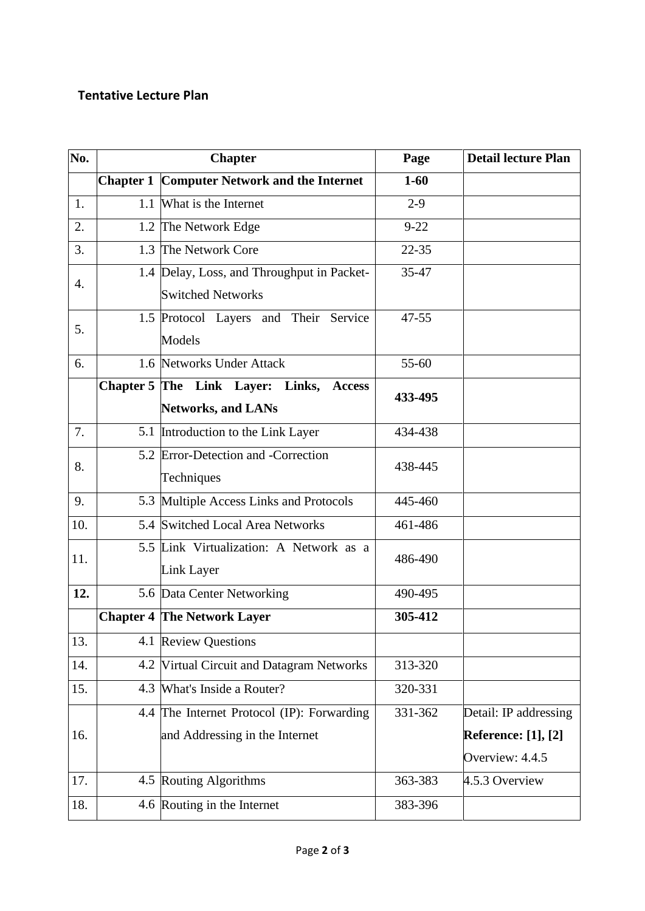# **Tentative Lecture Plan**

| No. | <b>Chapter</b> |                                                    | Page      | <b>Detail lecture Plan</b> |
|-----|----------------|----------------------------------------------------|-----------|----------------------------|
|     |                | <b>Chapter 1 Computer Network and the Internet</b> | $1 - 60$  |                            |
| 1.  |                | 1.1 What is the Internet                           | $2-9$     |                            |
| 2.  |                | 1.2 The Network Edge                               | $9 - 22$  |                            |
| 3.  | 1.3            | The Network Core                                   | $22 - 35$ |                            |
|     |                | 1.4 Delay, Loss, and Throughput in Packet-         | 35-47     |                            |
| 4.  |                | <b>Switched Networks</b>                           |           |                            |
| 5.  |                | 1.5 Protocol Layers and Their Service              | 47-55     |                            |
|     |                | Models                                             |           |                            |
| 6.  |                | 1.6 Networks Under Attack                          | 55-60     |                            |
|     |                | Chapter 5 The Link Layer: Links, Access            | 433-495   |                            |
|     |                | <b>Networks, and LANs</b>                          |           |                            |
| 7.  |                | 5.1 Introduction to the Link Layer                 | 434-438   |                            |
| 8.  |                | 5.2 Error-Detection and -Correction                | 438-445   |                            |
|     |                | Techniques                                         |           |                            |
| 9.  |                | 5.3 Multiple Access Links and Protocols            | 445-460   |                            |
| 10. |                | 5.4 Switched Local Area Networks                   | 461-486   |                            |
| 11. |                | 5.5 Link Virtualization: A Network as a            | 486-490   |                            |
|     |                | Link Layer                                         |           |                            |
| 12. |                | 5.6 Data Center Networking                         | 490-495   |                            |
|     |                | <b>Chapter 4 The Network Layer</b>                 | 305-412   |                            |
| 13. |                | 4.1 Review Questions                               |           |                            |
| 14. | 4.2            | Virtual Circuit and Datagram Networks              | 313-320   |                            |
| 15. | 4.3            | What's Inside a Router?                            | 320-331   |                            |
|     | 4.4            | The Internet Protocol (IP): Forwarding             | 331-362   | Detail: IP addressing      |
| 16. |                | and Addressing in the Internet                     |           | <b>Reference:</b> [1], [2] |
|     |                |                                                    |           | Overview: 4.4.5            |
| 17. |                | 4.5 Routing Algorithms                             | 363-383   | 4.5.3 Overview             |
| 18. |                | 4.6 Routing in the Internet                        | 383-396   |                            |